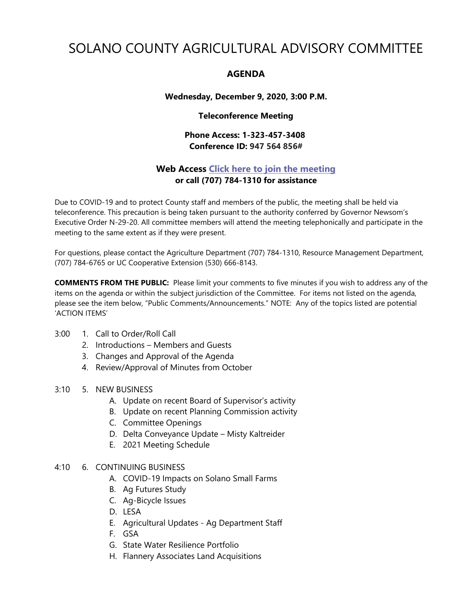# SOLANO COUNTY AGRICULTURAL ADVISORY COMMITTEE

## **AGENDA**

## **Wednesday, December 9, 2020, 3:00 P.M.**

## **Teleconference Meeting**

## **Phone Access: 1-323-457-3408 Conference ID: 947 564 856#**

## **Web Access [Click here to join the meeting](https://teams.microsoft.com/l/meetup-join/19%3ameeting_MWRkOTA2YmUtMjczYi00YTM4LThjNmUtMzYxNDM4MGU1NGQ3%40thread.v2/0?context=%7b%22Tid%22%3a%225e7f20ac-e5f1-4f83-8c3b-ce44b8486421%22%2c%22Oid%22%3a%229b7e0b10-9feb-4114-92ef-db737a66fd13%22%7d) or call (707) 784-1310 for assistance**

Due to COVID-19 and to protect County staff and members of the public, the meeting shall be held via teleconference. This precaution is being taken pursuant to the authority conferred by Governor Newsom's Executive Order N-29-20. All committee members will attend the meeting telephonically and participate in the meeting to the same extent as if they were present.

For questions, please contact the Agriculture Department (707) 784-1310, Resource Management Department, (707) 784-6765 or UC Cooperative Extension (530) 666-8143.

**COMMENTS FROM THE PUBLIC:** Please limit your comments to five minutes if you wish to address any of the items on the agenda or within the subject jurisdiction of the Committee. For items not listed on the agenda, please see the item below, "Public Comments/Announcements." NOTE: Any of the topics listed are potential 'ACTION ITEMS'

### 3:00 1. Call to Order/Roll Call

- 2. Introductions Members and Guests
- 3. Changes and Approval of the Agenda
- 4. Review/Approval of Minutes from October

### 3:10 5. NEW BUSINESS

- A. Update on recent Board of Supervisor's activity
- B. Update on recent Planning Commission activity
- C. Committee Openings
- D. Delta Conveyance Update Misty Kaltreider
- E. 2021 Meeting Schedule

## 4:10 6. CONTINUING BUSINESS

- A. COVID-19 Impacts on Solano Small Farms
- B. Ag Futures Study
- C. Ag-Bicycle Issues
- D. LESA
- E. Agricultural Updates Ag Department Staff
- F. GSA
- G. State Water Resilience Portfolio
- H. Flannery Associates Land Acquisitions